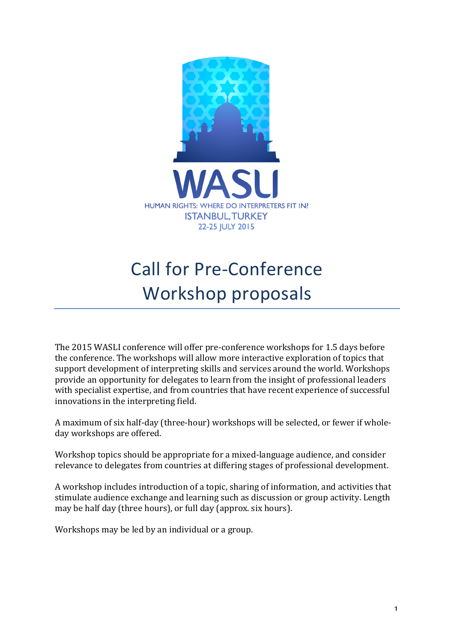

# Call for Pre-Conference Workshop proposals

The 2015 WASLI conference will offer pre-conference workshops for 1.5 days before the conference. The workshops will allow more interactive exploration of topics that support development of interpreting skills and services around the world. Workshops provide an opportunity for delegates to learn from the insight of professional leaders with specialist expertise, and from countries that have recent experience of successful innovations in the interpreting field.

A maximum of six half-day (three-hour) workshops will be selected, or fewer if wholeday workshops are offered.

Workshop topics should be appropriate for a mixed-language audience, and consider relevance to delegates from countries at differing stages of professional development.

A workshop includes introduction of a topic, sharing of information, and activities that stimulate audience exchange and learning such as discussion or group activity. Length may be half day (three hours), or full day (approx. six hours).

Workshops may be led by an individual or a group.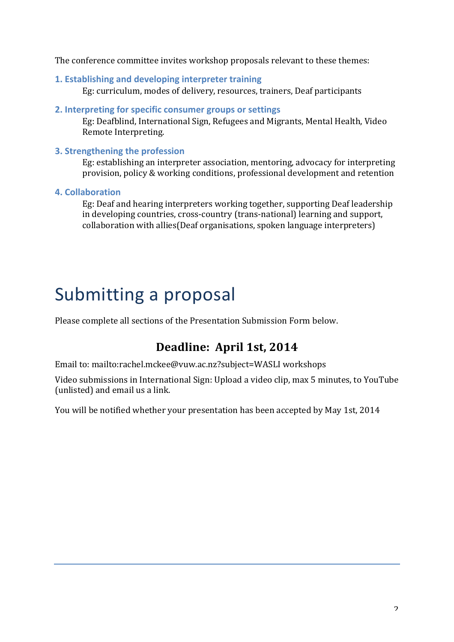The conference committee invites workshop proposals relevant to these themes:

**1. Establishing and developing interpreter training** 

Eg: curriculum, modes of delivery, resources, trainers, Deaf participants

#### **2.** Interpreting for specific consumer groups or settings

Eg: Deafblind, International Sign, Refugees and Migrants, Mental Health, Video Remote Interpreting.

### **3. Strengthening the profession**

Eg: establishing an interpreter association, mentoring, advocacy for interpreting provision, policy & working conditions, professional development and retention

### **4. Collaboration**

Eg: Deaf and hearing interpreters working together, supporting Deaf leadership in developing countries, cross-country (trans-national) learning and support, collaboration with allies(Deaf organisations, spoken language interpreters)

## Submitting a proposal

Please complete all sections of the Presentation Submission Form below.

### Deadline: April 1st, 2014

Email to: mailto:rachel.mckee@vuw.ac.nz?subject=WASLI workshops

Video submissions in International Sign: Upload a video clip, max 5 minutes, to YouTube (unlisted) and email us a link.

You will be notified whether your presentation has been accepted by May 1st, 2014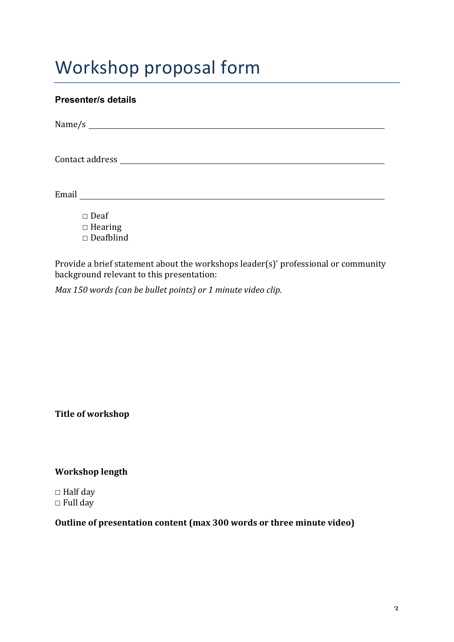## Workshop proposal form

### **Presenter/s details**

| Email | <u> 1989 - Andrea Station Books, amerikansk politiker (</u> |  |  |  |
|-------|-------------------------------------------------------------|--|--|--|
|       | $\square$ Deaf<br>$\Box$ Hearing<br>$\square$ Deafblind     |  |  |  |

Provide a brief statement about the workshops leader(s)' professional or community background relevant to this presentation:

*Max* 150 words (can be bullet points) or 1 minute video clip.

**Title of workshop** 

**Workshop length** 

 $\Box$  Half day  $\Box$  Full day

### **Outline of presentation content (max 300 words or three minute video)**